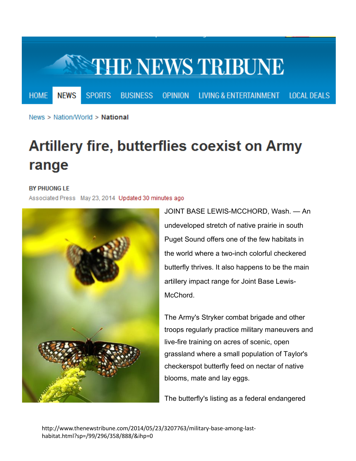

News > Nation/World > National

## **Artillery fire, butterflies coexist on Army** range

## **BY PHUONG LE**

Associated Press May 23, 2014 Updated 30 minutes ago



JOINT BASE LEWIS-MCCHORD, Wash. — An undeveloped stretch of native prairie in south Puget Sound offers one of the few habitats in the world where a two-inch colorful checkered butterfly thrives. It also happens to be the main artillery impact range for Joint Base Lewis-McChord.

The Army's Stryker combat brigade and other troops regularly practice military maneuvers and live-fire training on acres of scenic, open grassland where a small population of Taylor's checkerspot butterfly feed on nectar of native blooms, mate and lay eggs.

The butterfly's listing as a federal endangered

http://www.thenewstribune.com/2014/05/23/3207763/military-base-among-lasthabitat.html?sp=/99/296/358/888/&ihp=0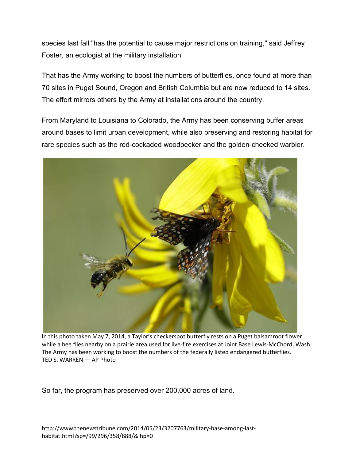species last fall "has the potential to cause major restrictions on training," said Jeffrey Foster, an ecologist at the military installation.

That has the Army working to boost the numbers of butterflies, once found at more than 70 sites in Puget Sound, Oregon and British Columbia but are now reduced to 14 sites. The effort mirrors others by the Army at installations around the country.

From Maryland to Louisiana to Colorado, the Army has been conserving buffer areas around bases to limit urban development, while also preserving and restoring habitat for rare species such as the red-cockaded woodpecker and the golden-cheeked warbler.



In this photo taken May 7, 2014, a Taylor's checkerspot butterfly rests on a Puget balsamroot flower while a bee flies nearby on a prairie area used for live-fire exercises at Joint Base Lewis-McChord, Wash. The Army has been working to boost the numbers of the federally listed endangered butterflies. TED S. WARREN — AP Photo

So far, the program has preserved over 200,000 acres of land.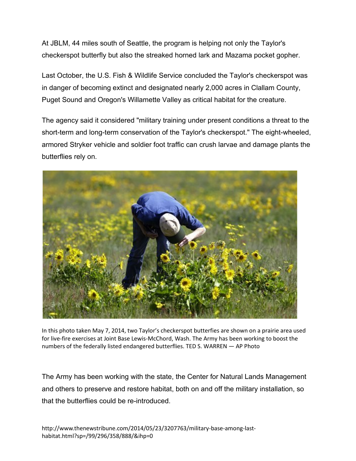At JBLM, 44 miles south of Seattle, the program is helping not only the Taylor's checkerspot butterfly but also the streaked horned lark and Mazama pocket gopher.

Last October, the U.S. Fish & Wildlife Service concluded the Taylor's checkerspot was in danger of becoming extinct and designated nearly 2,000 acres in Clallam County, Puget Sound and Oregon's Willamette Valley as critical habitat for the creature.

The agency said it considered "military training under present conditions a threat to the short-term and long-term conservation of the Taylor's checkerspot." The eight-wheeled, armored Stryker vehicle and soldier foot traffic can crush larvae and damage plants the butterflies rely on.



In this photo taken May 7, 2014, two Taylor's checkerspot butterfies are shown on a prairie area used for live-fire exercises at Joint Base Lewis-McChord, Wash. The Army has been working to boost the numbers of the federally listed endangered butterflies. TED S. WARREN — AP Photo

The Army has been working with the state, the Center for Natural Lands Management and others to preserve and restore habitat, both on and off the military installation, so that the butterflies could be re-introduced.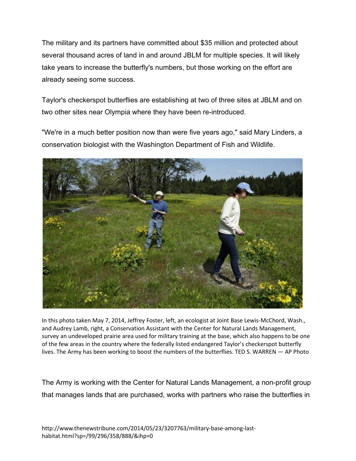The military and its partners have committed about \$35 million and protected about several thousand acres of land in and around JBLM for multiple species. It will likely take years to increase the butterfly's numbers, but those working on the effort are already seeing some success.

Taylor's checkerspot butterflies are establishing at two of three sites at JBLM and on two other sites near Olympia where they have been re-introduced.

"We're in a much better position now than were five years ago," said Mary Linders, a conservation biologist with the Washington Department of Fish and Wildlife.



In this photo taken May 7, 2014, Jeffrey Foster, left, an ecologist at Joint Base Lewis-McChord, Wash., and Audrey Lamb, right, a Conservation Assistant with the Center for Natural Lands Management, survey an undeveloped prairie area used for military training at the base, which also happens to be one of the few areas in the country where the federally listed endangered Taylor's checkerspot butterfly lives. The Army has been working to boost the numbers of the butterflies. TED S. WARREN — AP Photo

The Army is working with the Center for Natural Lands Management, a non-profit group that manages lands that are purchased, works with partners who raise the butterflies in